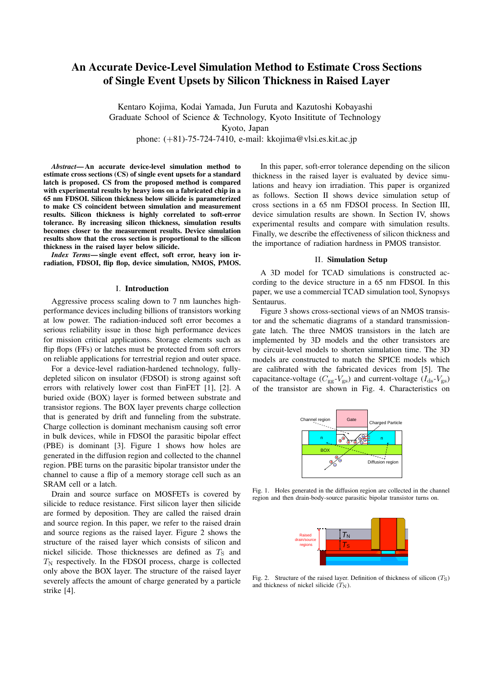# An Accurate Device-Level Simulation Method to Estimate Cross Sections of Single Event Upsets by Silicon Thickness in Raised Layer

Kentaro Kojima, Kodai Yamada, Jun Furuta and Kazutoshi Kobayashi Graduate School of Science & Technology, Kyoto Insititute of Technology Kyoto, Japan

phone: (+81)-75-724-7410, e-mail: kkojima@vlsi.es.kit.ac.jp

*Abstract*— An accurate device-level simulation method to estimate cross sections (CS) of single event upsets for a standard latch is proposed. CS from the proposed method is compared with experimental results by heavy ions on a fabricated chip in a 65 nm FDSOI. Silicon thickness below silicide is parameterized to make CS coincident between simulation and measurement results. Silicon thickness is highly correlated to soft-error tolerance. By increasing silicon thickness, simulation results becomes closer to the measurement results. Device simulation results show that the cross section is proportional to the silicon thickness in the raised layer below silicide.

*Index Terms*— single event effect, soft error, heavy ion irradiation, FDSOI, flip flop, device simulation, NMOS, PMOS.

#### I. Introduction

Aggressive process scaling down to 7 nm launches highperformance devices including billions of transistors working at low power. The radiation-induced soft error becomes a serious reliability issue in those high performance devices for mission critical applications. Storage elements such as flip flops (FFs) or latches must be protected from soft errors on reliable applications for terrestrial region and outer space.

For a device-level radiation-hardened technology, fullydepleted silicon on insulator (FDSOI) is strong against soft errors with relatively lower cost than FinFET [1], [2]. A buried oxide (BOX) layer is formed between substrate and transistor regions. The BOX layer prevents charge collection that is generated by drift and funneling from the substrate. Charge collection is dominant mechanism causing soft error in bulk devices, while in FDSOI the parasitic bipolar effect (PBE) is dominant [3]. Figure 1 shows how holes are generated in the diffusion region and collected to the channel region. PBE turns on the parasitic bipolar transistor under the channel to cause a flip of a memory storage cell such as an SRAM cell or a latch.

Drain and source surface on MOSFETs is covered by silicide to reduce resistance. First silicon layer then silicide are formed by deposition. They are called the raised drain and source region. In this paper, we refer to the raised drain and source regions as the raised layer. Figure 2 shows the structure of the raised layer which consists of silicon and nickel silicide. Those thicknesses are defined as  $T<sub>S</sub>$  and  $T_N$  respectively. In the FDSOI process, charge is collected only above the BOX layer. The structure of the raised layer severely affects the amount of charge generated by a particle strike [4].

In this paper, soft-error tolerance depending on the silicon thickness in the raised layer is evaluated by device simulations and heavy ion irradiation. This paper is organized as follows. Section II shows device simulation setup of cross sections in a 65 nm FDSOI process. In Section III, device simulation results are shown. In Section IV, shows experimental results and compare with simulation results. Finally, we describe the effectiveness of silicon thickness and the importance of radiation hardness in PMOS transistor.

## II. Simulation Setup

A 3D model for TCAD simulations is constructed according to the device structure in a 65 nm FDSOI. In this paper, we use a commercial TCAD simulation tool, Synopsys Sentaurus.

Figure 3 shows cross-sectional views of an NMOS transistor and the schematic diagrams of a standard transmissiongate latch. The three NMOS transistors in the latch are implemented by 3D models and the other transistors are by circuit-level models to shorten simulation time. The 3D models are constructed to match the SPICE models which are calibrated with the fabricated devices from [5]. The capacitance-voltage ( $C_{gg}$ - $V_{gs}$ ) and current-voltage ( $I_{ds}$ - $V_{gs}$ ) of the transistor are shown in Fig. 4. Characteristics on



Fig. 1. Holes generated in the diffusion region are collected in the channel region and then drain-body-source parasitic bipolar transistor turns on.



Fig. 2. Structure of the raised layer. Definition of thickness of silicon  $(T<sub>S</sub>)$ and thickness of nickel silicide  $(T<sub>N</sub>)$ .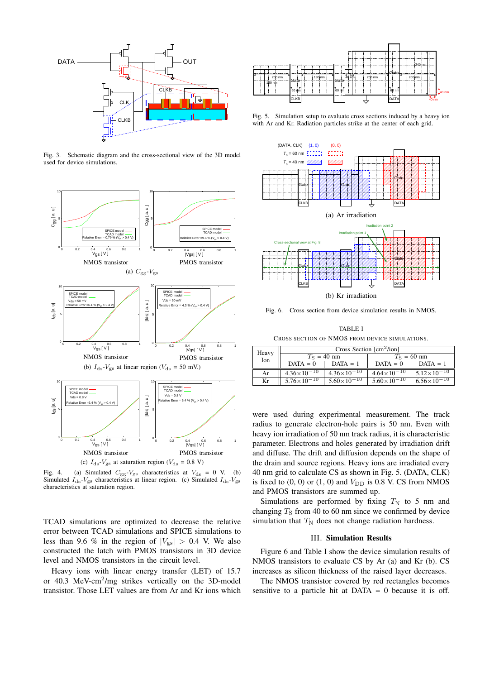

Fig. 3. Schematic diagram and the cross-sectional view of the 3D model

used for device simulations.



Fig. 5. Simulation setup to evaluate cross sections induced by a heavy ion with Ar and Kr. Radiation particles strike at the center of each grid.

 $(DATA, CLK)$   $(1, 0)$   $(0, 0)$ 



Fig. 4. (a) Simulated  $C_{gg}$ - $V_{gs}$  characteristics at  $V_{ds} = 0$  V. (b) Simulated  $I_{ds}$ - $V_{gs}$  characteristics at linear region. (c) Simulated  $I_{ds}$ - $V_{gs}$ characteristics at saturation region.

TCAD simulations are optimized to decrease the relative error between TCAD simulations and SPICE simulations to less than 9.6 % in the region of  $|V_{gs}| > 0.4$  V. We also constructed the latch with PMOS transistors in 3D device level and NMOS transistors in the circuit level.

Heavy ions with linear energy transfer (LET) of 15.7 or 40.3 MeV-cm<sup>2</sup>/mg strikes vertically on the 3D-model transistor. Those LET values are from Ar and Kr ions which





Fig. 6. Cross section from device simulation results in NMOS.

TABLE I CROSS SECTION OF NMOS FROM DEVICE SIMULATIONS.

| Heavy<br>Ion | Cross Section $\lceil$ cm <sup>2</sup> /ion] |                        |                        |                        |
|--------------|----------------------------------------------|------------------------|------------------------|------------------------|
|              | $TS$ = 40 nm                                 |                        | $TS$ = 60 nm           |                        |
|              | $DATA = 0$                                   | $DATA = 1$             | $DATA = 0$             | $DATA = 1$             |
| Ar           | $4.36 \times 10^{-10}$                       | $4.36 \times 10^{-10}$ | $4.64 \times 10^{-10}$ | $5.12\times10^{-10}$   |
| Kr           | $5.76 \times 10^{-10}$                       | $5.60\times10^{-10}$   | $5.60\times10^{-10}$   | $6.56 \times 10^{-10}$ |

were used during experimental measurement. The track radius to generate electron-hole pairs is 50 nm. Even with heavy ion irradiation of 50 nm track radius, it is characteristic parameter. Electrons and holes generated by irradiation drift and diffuse. The drift and diffusion depends on the shape of the drain and source regions. Heavy ions are irradiated every 40 nm grid to calculate CS as shown in Fig. 5. (DATA, CLK) is fixed to  $(0, 0)$  or  $(1, 0)$  and  $V_{\text{DD}}$  is 0.8 V. CS from NMOS and PMOS transistors are summed up.

Simulations are performed by fixing  $T_N$  to 5 nm and changing  $T<sub>S</sub>$  from 40 to 60 nm since we confirmed by device simulation that  $T_N$  does not change radiation hardness.

## III. Simulation Results

Figure 6 and Table I show the device simulation results of NMOS transistors to evaluate CS by Ar (a) and Kr (b). CS increases as silicon thickness of the raised layer decreases.

The NMOS transistor covered by red rectangles becomes sensitive to a particle hit at DATA  $= 0$  because it is off.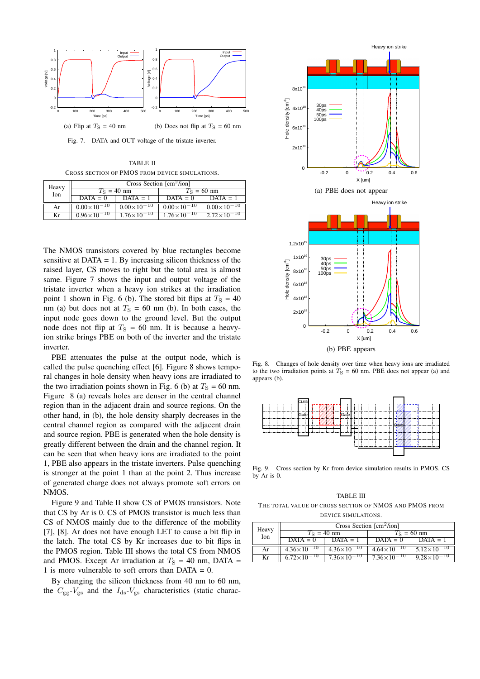

Fig. 7. DATA and OUT voltage of the tristate inverter.

TABLE II CROSS SECTION OF PMOS FROM DEVICE SIMULATIONS.

| Heavy<br>Ion | Cross Section $[cm^2/ion]$ |                        |                        |                        |
|--------------|----------------------------|------------------------|------------------------|------------------------|
|              | $T_s = 40$ nm              |                        | $T_{\rm S}$ = 60 nm    |                        |
|              | $DATA = 0$                 | $DATA = 1$             | $DATA = 0$             | $DATA = 1$             |
| Ar           | $0.00\times10^{-10}$       | $0.00\times10^{-10}$   | $0.00\times10^{-10}$   | $0.00\times10^{-10}$   |
| Kr           | $0.96 \times 10^{-10}$     | $1.76 \times 10^{-10}$ | $1.76 \times 10^{-10}$ | $2.72 \times 10^{-10}$ |

The NMOS transistors covered by blue rectangles become sensitive at  $DATA = 1$ . By increasing silicon thickness of the raised layer, CS moves to right but the total area is almost same. Figure 7 shows the input and output voltage of the tristate inverter when a heavy ion strikes at the irradiation point 1 shown in Fig. 6 (b). The stored bit flips at  $T_s = 40$ nm (a) but does not at  $T<sub>S</sub> = 60$  nm (b). In both cases, the input node goes down to the ground level. But the output node does not flip at  $T<sub>S</sub> = 60$  nm. It is because a heavyion strike brings PBE on both of the inverter and the tristate inverter.

PBE attenuates the pulse at the output node, which is called the pulse quenching effect [6]. Figure 8 shows temporal changes in hole density when heavy ions are irradiated to the two irradiation points shown in Fig. 6 (b) at  $T_s = 60$  nm. Figure 8 (a) reveals holes are denser in the central channel region than in the adjacent drain and source regions. On the other hand, in (b), the hole density sharply decreases in the central channel region as compared with the adjacent drain and source region. PBE is generated when the hole density is greatly different between the drain and the channel region. It can be seen that when heavy ions are irradiated to the point 1, PBE also appears in the tristate inverters. Pulse quenching is stronger at the point 1 than at the point 2. Thus increase of generated charge does not always promote soft errors on NMOS.

Figure 9 and Table II show CS of PMOS transistors. Note that CS by Ar is 0. CS of PMOS transistor is much less than CS of NMOS mainly due to the difference of the mobility [7], [8]. Ar does not have enough LET to cause a bit flip in the latch. The total CS by Kr increases due to bit flips in the PMOS region. Table III shows the total CS from NMOS and PMOS. Except Ar irradiation at  $T<sub>S</sub> = 40$  nm, DATA = 1 is more vulnerable to soft errors than  $DATA = 0$ .

By changing the silicon thickness from 40 nm to 60 nm, the  $C_{gg}$ - $V_{gs}$  and the  $I_{ds}$ - $V_{gs}$  characteristics (static charac-



Fig. 8. Changes of hole density over time when heavy ions are irradiated to the two irradiation points at  $T<sub>S</sub> = 60$  nm. PBE does not appear (a) and appears (b).



Fig. 9. Cross section by Kr from device simulation results in PMOS. CS by Ar is 0.

TABLE III THE TOTAL VALUE OF CROSS SECTION OF NMOS AND PMOS FROM DEVICE SIMULATIONS.

| Heavy<br>Ion | Cross Section $\lceil$ cm <sup>2</sup> /ion] |                        |                        |                        |
|--------------|----------------------------------------------|------------------------|------------------------|------------------------|
|              | $T_{\rm S}$ = 40 nm                          |                        | $T_{\rm S}$ = 60 nm    |                        |
|              | $DATA = 0$                                   | $DATA = 1$             | $DATA = 0$             | $DATA = 1$             |
| Ar           | $4.36 \times 10^{-10}$                       | $4.36 \times 10^{-10}$ | $4.64 \times 10^{-10}$ | $5.12\times10^{-10}$   |
| Kr           | $6.72\times10^{-10}$                         | $7.36\times10^{-10}$   | $7.36 \times 10^{-10}$ | $9.28 \times 10^{-10}$ |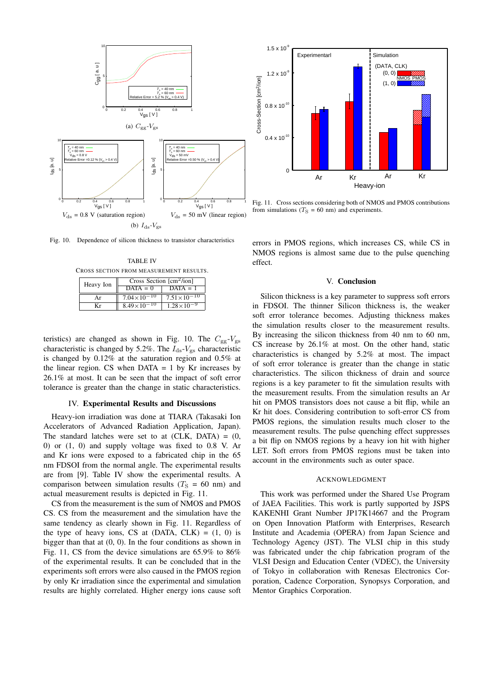

Fig. 10. Dependence of silicon thickness to transistor characteristics

TABLE IV CROSS SECTION FROM MEASUREMENT RESULTS.

| Heavy Ion | Cross Section $\lfloor$ cm <sup>2</sup> /ion] |                       |  |
|-----------|-----------------------------------------------|-----------------------|--|
|           | $DATA = 0$                                    | $DATA = 1$            |  |
| Ar        | $7.04\times10^{-10}$                          | $7.51\times10^{-10}$  |  |
| Кr        | $8.49 \times 10^{-10}$                        | $1.28 \times 10^{-9}$ |  |

teristics) are changed as shown in Fig. 10. The  $C_{gg}$ - $V_{gs}$ characteristic is changed by 5.2%. The  $I_{ds}$ - $V_{gs}$  characteristic is changed by 0.12% at the saturation region and 0.5% at the linear region. CS when  $DATA = 1$  by Kr increases by 26.1% at most. It can be seen that the impact of soft error tolerance is greater than the change in static characteristics.

## IV. Experimental Results and Discussions

Heavy-ion irradiation was done at TIARA (Takasaki Ion Accelerators of Advanced Radiation Application, Japan). The standard latches were set to at  $(CLK, DATA) = (0,$ 0) or (1, 0) and supply voltage was fixed to 0.8 V. Ar and Kr ions were exposed to a fabricated chip in the 65 nm FDSOI from the normal angle. The experimental results are from [9]. Table IV show the experimental results. A comparison between simulation results  $(T<sub>S</sub> = 60$  nm) and actual measurement results is depicted in Fig. 11.

CS from the measurement is the sum of NMOS and PMOS CS. CS from the measurement and the simulation have the same tendency as clearly shown in Fig. 11. Regardless of the type of heavy ions, CS at  $(DATA, CLK) = (1, 0)$  is bigger than that at (0, 0). In the four conditions as shown in Fig. 11, CS from the device simulations are 65.9% to 86% of the experimental results. It can be concluded that in the experiments soft errors were also caused in the PMOS region by only Kr irradiation since the experimental and simulation results are highly correlated. Higher energy ions cause soft



Fig. 11. Cross sections considering both of NMOS and PMOS contributions from simulations ( $T_S = 60$  nm) and experiments.

errors in PMOS regions, which increases CS, while CS in NMOS regions is almost same due to the pulse quenching effect.

## V. Conclusion

Silicon thickness is a key parameter to suppress soft errors in FDSOI. The thinner Silicon thickness is, the weaker soft error tolerance becomes. Adjusting thickness makes the simulation results closer to the measurement results. By increasing the silicon thickness from 40 nm to 60 nm, CS increase by 26.1% at most. On the other hand, static characteristics is changed by 5.2% at most. The impact of soft error tolerance is greater than the change in static characteristics. The silicon thickness of drain and source regions is a key parameter to fit the simulation results with the measurement results. From the simulation results an Ar hit on PMOS transistors does not cause a bit flip, while an Kr hit does. Considering contribution to soft-error CS from PMOS regions, the simulation results much closer to the measurement results. The pulse quenching effect suppresses a bit flip on NMOS regions by a heavy ion hit with higher LET. Soft errors from PMOS regions must be taken into account in the environments such as outer space.

## ACKNOWLEDGMENT

This work was performed under the Shared Use Program of JAEA Facilities. This work is partly supported by JSPS KAKENHI Grant Number JP17K14667 and the Program on Open Innovation Platform with Enterprises, Research Institute and Academia (OPERA) from Japan Science and Technology Agency (JST). The VLSI chip in this study was fabricated under the chip fabrication program of the VLSI Design and Education Center (VDEC), the University of Tokyo in collaboration with Renesas Electronics Corporation, Cadence Corporation, Synopsys Corporation, and Mentor Graphics Corporation.